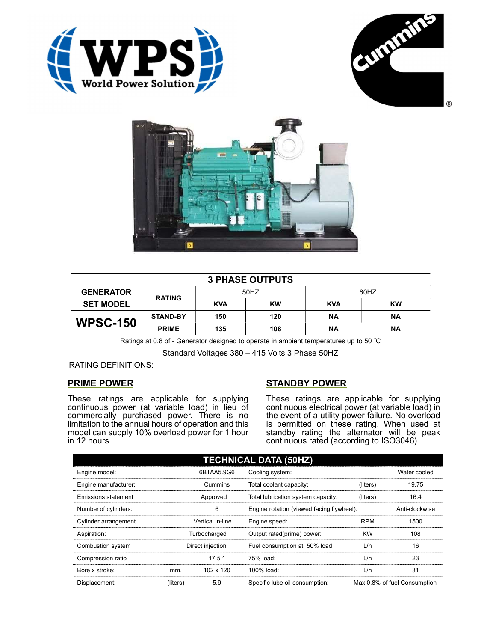





| <b>3 PHASE OUTPUTS</b> |                 |            |           |            |           |  |
|------------------------|-----------------|------------|-----------|------------|-----------|--|
| <b>GENERATOR</b>       | <b>RATING</b>   | 50HZ       |           | 60HZ       |           |  |
| <b>SET MODEL</b>       |                 | <b>KVA</b> | <b>KW</b> | <b>KVA</b> | <b>KW</b> |  |
| <b>WPSC-150</b>        | <b>STAND-BY</b> | 150        | 120       | ΝA         | <b>NA</b> |  |
|                        | <b>PRIME</b>    | 135        | 108       | ΝA         | <b>NA</b> |  |

Ratings at 0.8 pf - Generator designed to operate in ambient temperatures up to 50 °C

Standard Voltages 380 – 415 Volts 3 Phase 50HZ

## RATING DEFINITIONS:

## PRIME POWER

These ratings are applicable for supplying continuous power (at variable load) in lieu of commercially purchased power. There is no limitation to the annual hours of operation and this model can supply 10% overload power for 1 hour in 12 hours.

## STANDBY POWER

These ratings are applicable for supplying continuous electrical power (at variable load) in the event of a utility power failure. No overload is permitted on these rating. When used at standby rating the alternator will be peak continuous rated (according to ISO3046)

| <b>TECHNICAL DATA (50HZ)</b> |                  |            |                                           |            |                              |  |
|------------------------------|------------------|------------|-------------------------------------------|------------|------------------------------|--|
| Engine model:                |                  | 6BTAA5.9G6 | Cooling system:                           |            | Water cooled                 |  |
| Engine manufacturer:         | Cummins          |            | Total coolant capacity:                   | (liters)   | 19.75                        |  |
| Emissions statement          | Approved         |            | Total lubrication system capacity:        | (liters)   | 16.4                         |  |
| Number of cylinders:         | 6                |            | Engine rotation (viewed facing flywheel): |            | Anti-clockwise               |  |
| Cylinder arrangement         | Vertical in-line |            | Engine speed:                             | <b>RPM</b> | 1500                         |  |
| Aspiration:                  | Turbocharged     |            | Output rated(prime) power:                | <b>KW</b>  | 108                          |  |
| Combustion system            | Direct injection |            | Fuel consumption at: 50% load             | L/h        | 16                           |  |
| Compression ratio            |                  | 17.5:1     | 75% load:                                 | L/h        | 23                           |  |
| Bore x stroke:               | mm.              | 102 x 120  | 100% load:                                | L/h        | 31                           |  |
| Displacement:                | (liters)         | 5.9        | Specific lube oil consumption:            |            | Max 0.8% of fuel Consumption |  |